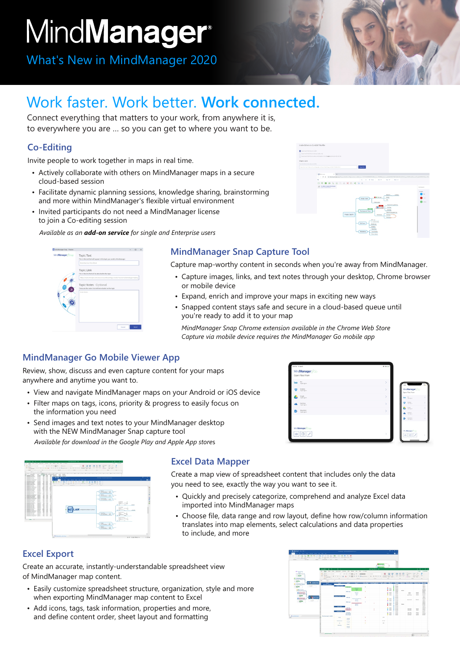# MindManager<sup>®</sup>

What's New in MindManager 2020



Connect everything that matters to your work, from anywhere it is, to everywhere you are … so you can get to where you want to be.

# **Co-Editing**

Invite people to work together in maps in real time.

- Actively collaborate with others on MindManager maps in a secure cloud-based session
- Facilitate dynamic planning sessions, knowledge sharing, brainstorming and more within MindManager's flexible virtual environment
- Invited participants do not need a MindManager license to join a Co-editing session

*Available as an add-on service for single and Enterprise users*



#### **MindManager Snap Capture Tool**

Capture map-worthy content in seconds when you're away from MindManager.

- Capture images, links, and text notes through your desktop, Chrome browser or mobile device
- Expand, enrich and improve your maps in exciting new ways
- Snapped content stays safe and secure in a cloud-based queue until you're ready to add it to your map

*MindManager Snap Chrome extension available in the Chrome Web Store Capture via mobile device requires the MindManager Go mobile app*

#### **MindManager Go Mobile Viewer App**

Review, show, discuss and even capture content for your maps anywhere and anytime you want to.

- View and navigate MindManager maps on your Android or iOS device
- Filter maps on tags, icons, priority & progress to easily focus on the information you need
- Send images and text notes to your MindManager desktop with the NEW MindManager Snap capture tool *Available for download in the Google Play and Apple App store*s





#### **Excel Data Mapper**

Create a map view of spreadsheet content that includes only the data you need to see, exactly the way you want to see it.

- Quickly and precisely categorize, comprehend and analyze Excel data imported into MindManager maps
- Choose file, data range and row layout, define how row/column information translates into map elements, select calculations and data properties to include, and more

## **Excel Export**

Create an accurate, instantly-understandable spreadsheet view of MindManager map content.

- Easily customize spreadsheet structure, organization, style and more when exporting MindManager map content to Excel
- Add icons, tags, task information, properties and more, and define content order, sheet layout and formatting